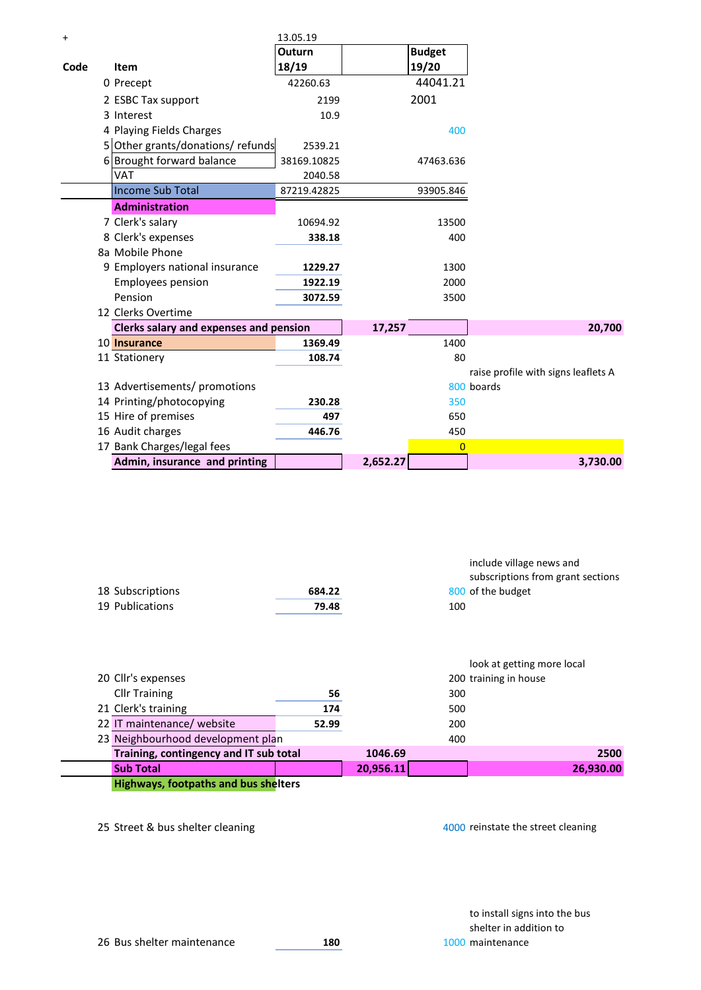| $\ddot{}$        |                                        | 13.05.19    |               |                                     |
|------------------|----------------------------------------|-------------|---------------|-------------------------------------|
|                  |                                        | Outurn      | <b>Budget</b> |                                     |
| Code             | Item                                   | 18/19       | 19/20         |                                     |
|                  | 0 Precept                              | 42260.63    | 44041.21      |                                     |
|                  | 2 ESBC Tax support                     | 2199        | 2001          |                                     |
|                  | 3 Interest                             | 10.9        |               |                                     |
|                  | 4 Playing Fields Charges               |             | 400           |                                     |
|                  | 5 Other grants/donations/ refunds      | 2539.21     |               |                                     |
|                  | 6 Brought forward balance              | 38169.10825 | 47463.636     |                                     |
|                  | VAT                                    | 2040.58     |               |                                     |
|                  | <b>Income Sub Total</b>                | 87219.42825 | 93905.846     |                                     |
|                  | <b>Administration</b>                  |             |               |                                     |
|                  | 7 Clerk's salary                       | 10694.92    | 13500         |                                     |
|                  | 8 Clerk's expenses                     | 338.18      | 400           |                                     |
|                  | 8a Mobile Phone                        |             |               |                                     |
|                  | 9 Employers national insurance         | 1229.27     | 1300          |                                     |
|                  | <b>Employees pension</b>               | 1922.19     | 2000          |                                     |
|                  | Pension                                | 3072.59     | 3500          |                                     |
|                  | 12 Clerks Overtime                     |             |               |                                     |
|                  | Clerks salary and expenses and pension |             | 17,257        | 20,700                              |
|                  | 10 Insurance                           | 1369.49     | 1400          |                                     |
|                  | 11 Stationery                          | 108.74      | 80            |                                     |
|                  |                                        |             |               | raise profile with signs leaflets A |
|                  | 13 Advertisements/ promotions          |             |               | 800 boards                          |
|                  | 14 Printing/photocopying               | 230.28      | 350           |                                     |
|                  | 15 Hire of premises                    | 497         | 650           |                                     |
| 16 Audit charges |                                        | 446.76      | 450           |                                     |
|                  | 17 Bank Charges/legal fees             |             | $\mathbf{0}$  |                                     |
|                  | Admin, insurance and printing          |             | 2,652.27      | 3,730.00                            |

|                  |        | include village news and          |
|------------------|--------|-----------------------------------|
|                  |        | subscriptions from grant sections |
| 18 Subscriptions | 684.22 | 800 of the budget                 |
| 19 Publications  | 79.48  | 100                               |

|                                        |       |           |     | look at getting more local |           |
|----------------------------------------|-------|-----------|-----|----------------------------|-----------|
| 20 Cllr's expenses                     |       |           |     | 200 training in house      |           |
| <b>Cllr Training</b>                   | 56    |           | 300 |                            |           |
| 21 Clerk's training                    | 174   |           | 500 |                            |           |
| 22 IT maintenance/ website             | 52.99 |           | 200 |                            |           |
| 23 Neighbourhood development plan      |       |           | 400 |                            |           |
| Training, contingency and IT sub total |       | 1046.69   |     |                            | 2500      |
| <b>Sub Total</b>                       |       | 20,956.11 |     |                            | 26,930.00 |
|                                        |       |           |     |                            |           |

**Highways, footpaths and bus shelters**

25 Street & bus shelter cleaning and the street cleaning and the street cleaning and the street cleaning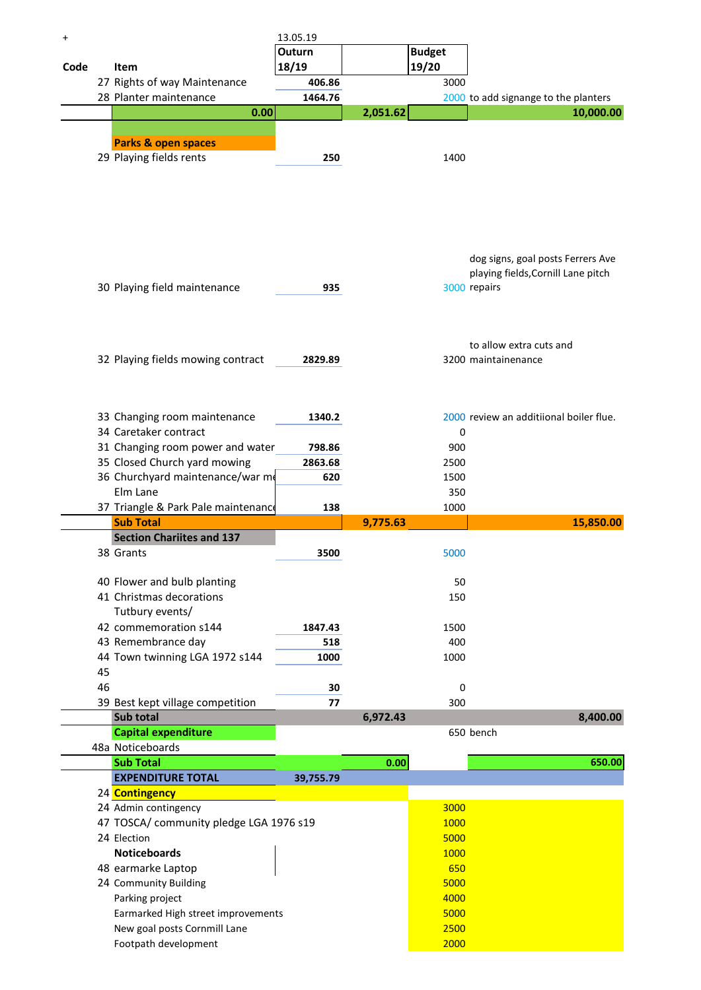| +    |    |                                         | 13.05.19  |          |               |                                         |
|------|----|-----------------------------------------|-----------|----------|---------------|-----------------------------------------|
|      |    |                                         | Outurn    |          | <b>Budget</b> |                                         |
| Code |    | Item                                    | 18/19     |          | 19/20         |                                         |
|      |    | 27 Rights of way Maintenance            | 406.86    |          | 3000          |                                         |
|      |    | 28 Planter maintenance                  | 1464.76   |          |               | 2000 to add signange to the planters    |
|      |    | 0.00                                    |           | 2,051.62 |               | 10,000.00                               |
|      |    |                                         |           |          |               |                                         |
|      |    |                                         |           |          |               |                                         |
|      |    | <b>Parks &amp; open spaces</b>          |           |          |               |                                         |
|      |    | 29 Playing fields rents                 | 250       |          | 1400          |                                         |
|      |    |                                         |           |          |               |                                         |
|      |    |                                         |           |          |               |                                         |
|      |    |                                         |           |          |               |                                         |
|      |    |                                         |           |          |               |                                         |
|      |    |                                         |           |          |               |                                         |
|      |    |                                         |           |          |               |                                         |
|      |    |                                         |           |          |               | dog signs, goal posts Ferrers Ave       |
|      |    |                                         |           |          |               | playing fields, Cornill Lane pitch      |
|      |    |                                         | 935       |          |               |                                         |
|      |    | 30 Playing field maintenance            |           |          |               | 3000 repairs                            |
|      |    |                                         |           |          |               |                                         |
|      |    |                                         |           |          |               |                                         |
|      |    |                                         |           |          |               |                                         |
|      |    |                                         |           |          |               | to allow extra cuts and                 |
|      |    | 32 Playing fields mowing contract       | 2829.89   |          |               | 3200 maintainenance                     |
|      |    |                                         |           |          |               |                                         |
|      |    |                                         |           |          |               |                                         |
|      |    |                                         |           |          |               |                                         |
|      |    | 33 Changing room maintenance            | 1340.2    |          |               | 2000 review an additiional boiler flue. |
|      |    | 34 Caretaker contract                   |           |          | 0             |                                         |
|      |    | 31 Changing room power and water        | 798.86    |          | 900           |                                         |
|      |    | 35 Closed Church yard mowing            | 2863.68   |          | 2500          |                                         |
|      |    | 36 Churchyard maintenance/war me        | 620       |          | 1500          |                                         |
|      |    | Elm Lane                                |           |          | 350           |                                         |
|      |    | 37 Triangle & Park Pale maintenance     | 138       |          | 1000          |                                         |
|      |    | <b>Sub Total</b>                        |           | 9,775.63 |               | 15,850.00                               |
|      |    |                                         |           |          |               |                                         |
|      |    | <b>Section Chariites and 137</b>        |           |          |               |                                         |
|      |    | 38 Grants                               | 3500      |          | 5000          |                                         |
|      |    |                                         |           |          |               |                                         |
|      |    | 40 Flower and bulb planting             |           |          | 50            |                                         |
|      |    | 41 Christmas decorations                |           |          | 150           |                                         |
|      |    | Tutbury events/                         |           |          |               |                                         |
|      |    | 42 commemoration s144                   | 1847.43   |          | 1500          |                                         |
|      |    | 43 Remembrance day                      | 518       |          | 400           |                                         |
|      |    | 44 Town twinning LGA 1972 s144          | 1000      |          | 1000          |                                         |
|      | 45 |                                         |           |          |               |                                         |
|      | 46 |                                         | 30        |          | 0             |                                         |
|      |    | 39 Best kept village competition        | 77        |          | 300           |                                         |
|      |    | Sub total                               |           | 6,972.43 |               | 8,400.00                                |
|      |    | <b>Capital expenditure</b>              |           |          |               | 650 bench                               |
|      |    | 48a Noticeboards                        |           |          |               |                                         |
|      |    | <b>Sub Total</b>                        |           | 0.00     |               | 650.00                                  |
|      |    | <b>EXPENDITURE TOTAL</b>                | 39,755.79 |          |               |                                         |
|      |    | 24 Contingency                          |           |          |               |                                         |
|      |    |                                         |           |          |               |                                         |
|      |    | 24 Admin contingency                    |           |          | 3000          |                                         |
|      |    | 47 TOSCA/ community pledge LGA 1976 s19 |           |          | 1000          |                                         |
|      |    | 24 Election                             |           |          | 5000          |                                         |
|      |    | <b>Noticeboards</b>                     |           |          | 1000          |                                         |
|      |    | 48 earmarke Laptop                      |           |          | 650           |                                         |
|      |    | 24 Community Building                   |           |          | 5000          |                                         |
|      |    | Parking project                         |           |          | 4000          |                                         |
|      |    | Earmarked High street improvements      |           |          | 5000          |                                         |
|      |    | New goal posts Cornmill Lane            |           |          | 2500          |                                         |
|      |    | Footpath development                    |           |          | 2000          |                                         |
|      |    |                                         |           |          |               |                                         |